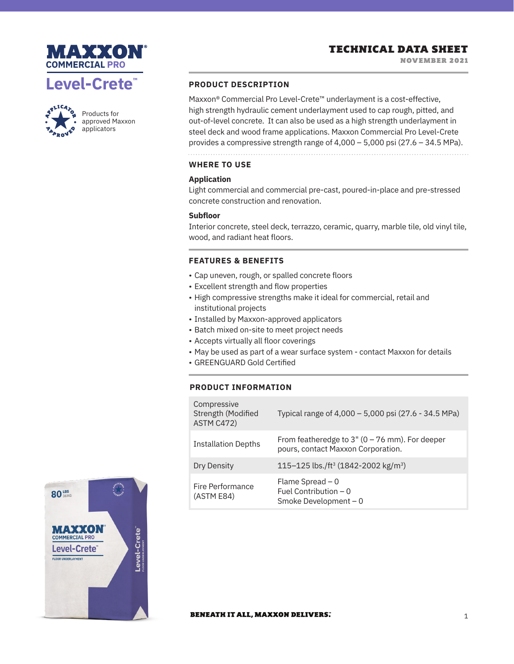





Products for approved Maxxon applicators

# **PRODUCT DESCRIPTION**

Maxxon® Commercial Pro Level-Crete™ underlayment is a cost-effective, high strength hydraulic cement underlayment used to cap rough, pitted, and out-of-level concrete. It can also be used as a high strength underlayment in steel deck and wood frame applications. Maxxon Commercial Pro Level-Crete provides a compressive strength range of 4,000 – 5,000 psi (27.6 – 34.5 MPa).

## **WHERE TO USE**

## **Application**

Light commercial and commercial pre-cast, poured-in-place and pre-stressed concrete construction and renovation.

## **Subfloor**

Interior concrete, steel deck, terrazzo, ceramic, quarry, marble tile, old vinyl tile, wood, and radiant heat floors.

## **FEATURES & BENEFITS**

- Cap uneven, rough, or spalled concrete floors
- Excellent strength and flow properties
- High compressive strengths make it ideal for commercial, retail and institutional projects
- Installed by Maxxon-approved applicators
- Batch mixed on-site to meet project needs
- Accepts virtually all floor coverings
- May be used as part of a wear surface system contact Maxxon for details
- GREENGUARD Gold Certified

# **PRODUCT INFORMATION**

| Compressive<br>Strength (Modified<br>ASTM C472) | Typical range of 4,000 - 5,000 psi (27.6 - 34.5 MPa)                                    |
|-------------------------------------------------|-----------------------------------------------------------------------------------------|
| <b>Installation Depths</b>                      | From featheredge to $3''$ (0 – 76 mm). For deeper<br>pours, contact Maxxon Corporation. |
| Dry Density                                     | 115-125 lbs./ft <sup>3</sup> (1842-2002 kg/m <sup>3</sup> )                             |
| Fire Performance<br>(ASTM E84)                  | Flame Spread $-0$<br>Fuel Contribution $-0$<br>Smoke Development - 0                    |



### **BENEATH IT ALL, MAXXON DELIVERS.**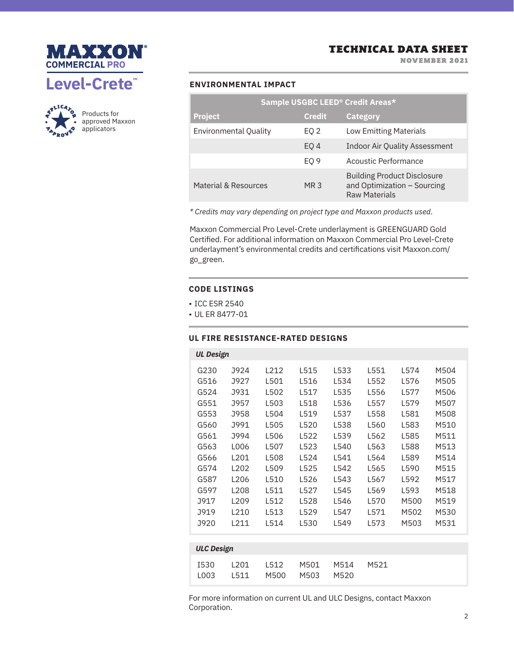

NOVEMBER 2021





Products for approved Maxxon applicators

# **ENVIRONMENTAL IMPACT**

| Sample USGBC LEED <sup>®</sup> Credit Areas* |                 |                                                                                           |  |  |
|----------------------------------------------|-----------------|-------------------------------------------------------------------------------------------|--|--|
| <b>Project</b>                               | <b>Credit</b>   | <b>Category</b>                                                                           |  |  |
| <b>Environmental Quality</b>                 | EQ 2            | <b>Low Emitting Materials</b>                                                             |  |  |
|                                              | EO <sub>4</sub> | <b>Indoor Air Quality Assessment</b>                                                      |  |  |
|                                              | EO 9            | Acoustic Performance                                                                      |  |  |
| Material & Resources                         | MR <sub>3</sub> | <b>Building Product Disclosure</b><br>and Optimization - Sourcing<br><b>Raw Materials</b> |  |  |

*\* Credits may vary depending on project type and Maxxon products used.*

Maxxon Commercial Pro Level-Crete underlayment is GREENGUARD Gold Certified. For additional information on Maxxon Commercial Pro Level-Crete underlayment's environmental credits and certifications visit Maxxon.com/ go\_green.

## **CODE LISTINGS**

- ICC ESR 2540
- UL ER 8477-01

# **UL FIRE RESISTANCE-RATED DESIGNS**

| <b>UL Design</b> |                  |      |      |      |      |      |      |
|------------------|------------------|------|------|------|------|------|------|
| G230             | J924             | L212 | L515 | L533 | L551 | L574 | M504 |
| G516             | J927             | L501 | L516 | L534 | L552 | L576 | M505 |
| G524             | <b>J931</b>      | L502 | L517 | L535 | L556 | L577 | M506 |
| G551             | J957             | L503 | L518 | L536 | L557 | L579 | M507 |
| G553             | J958             | L504 | L519 | L537 | L558 | L581 | M508 |
| G560             | J991             | L505 | L520 | L538 | L560 | L583 | M510 |
| G561             | J994             | L506 | L522 | L539 | L562 | L585 | M511 |
| G563             | L006             | L507 | L523 | L540 | L563 | L588 | M513 |
| G566             | L <sub>201</sub> | L508 | L524 | L541 | L564 | L589 | M514 |
| G574             | L <sub>202</sub> | L509 | L525 | L542 | L565 | L590 | M515 |
| G587             | L206             | L510 | L526 | L543 | L567 | L592 | M517 |
| G597             | L <sub>208</sub> | L511 | 1527 | L545 | L569 | L593 | M518 |
| J917             | L <sub>209</sub> | L512 | L528 | L546 | L570 | M500 | M519 |
| J919             | L <sub>210</sub> | L513 | L529 | L547 | L571 | M502 | M530 |
| J920             | L211             | L514 | L530 | L549 | L573 | M503 | M531 |
|                  |                  |      |      |      |      |      |      |

| <b>ULC Design</b> |              |              |      |                |           |      |  |  |
|-------------------|--------------|--------------|------|----------------|-----------|------|--|--|
|                   | I530<br>1003 | 1201<br>1511 | L512 | M500 M503 M520 | M501 M514 | M521 |  |  |

For more information on current UL and ULC Designs, contact Maxxon Corporation.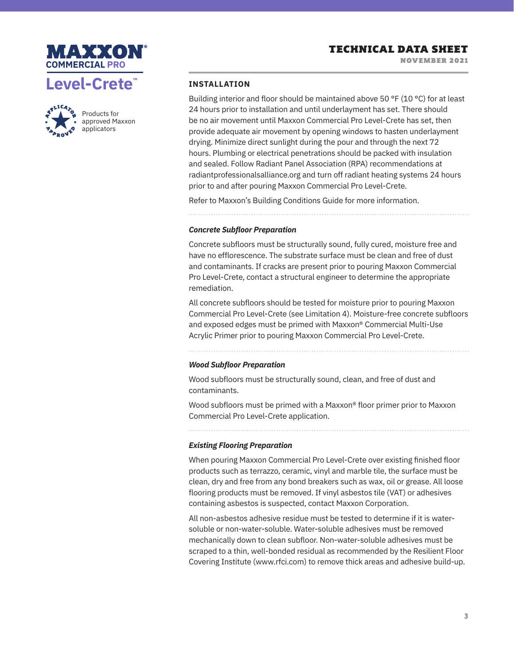





Products for approved Maxxon applicators

## **INSTALLATION**

Building interior and floor should be maintained above 50 °F (10 °C) for at least 24 hours prior to installation and until underlayment has set. There should be no air movement until Maxxon Commercial Pro Level-Crete has set, then provide adequate air movement by opening windows to hasten underlayment drying. Minimize direct sunlight during the pour and through the next 72 hours. Plumbing or electrical penetrations should be packed with insulation and sealed. Follow Radiant Panel Association (RPA) recommendations at radiantprofessionalsalliance.org and turn off radiant heating systems 24 hours prior to and after pouring Maxxon Commercial Pro Level-Crete.

Refer to Maxxon's Building Conditions Guide for more information.

## *Concrete Subfloor Preparation*

Concrete subfloors must be structurally sound, fully cured, moisture free and have no efflorescence. The substrate surface must be clean and free of dust and contaminants. If cracks are present prior to pouring Maxxon Commercial Pro Level-Crete, contact a structural engineer to determine the appropriate remediation.

All concrete subfloors should be tested for moisture prior to pouring Maxxon Commercial Pro Level-Crete (see Limitation 4). Moisture-free concrete subfloors and exposed edges must be primed with Maxxon® Commercial Multi-Use Acrylic Primer prior to pouring Maxxon Commercial Pro Level-Crete.

## *Wood Subfloor Preparation*

Wood subfloors must be structurally sound, clean, and free of dust and contaminants.

Wood subfloors must be primed with a Maxxon® floor primer prior to Maxxon Commercial Pro Level-Crete application.

## *Existing Flooring Preparation*

When pouring Maxxon Commercial Pro Level-Crete over existing finished floor products such as terrazzo, ceramic, vinyl and marble tile, the surface must be clean, dry and free from any bond breakers such as wax, oil or grease. All loose flooring products must be removed. If vinyl asbestos tile (VAT) or adhesives containing asbestos is suspected, contact Maxxon Corporation.

All non-asbestos adhesive residue must be tested to determine if it is watersoluble or non-water-soluble. Water-soluble adhesives must be removed mechanically down to clean subfloor. Non-water-soluble adhesives must be scraped to a thin, well-bonded residual as recommended by the Resilient Floor Covering Institute (www.rfci.com) to remove thick areas and adhesive build-up.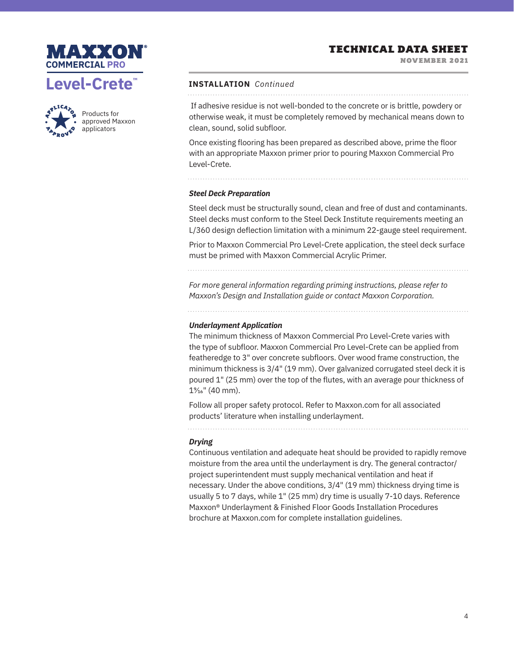# TECHNICAL DATA SHEET

NOVEMBER 2021





Products for approved Maxxon applicators

#### **INSTALLATION** *Continued*

 If adhesive residue is not well-bonded to the concrete or is brittle, powdery or otherwise weak, it must be completely removed by mechanical means down to clean, sound, solid subfloor.

Once existing flooring has been prepared as described above, prime the floor with an appropriate Maxxon primer prior to pouring Maxxon Commercial Pro Level-Crete.

### *Steel Deck Preparation*

Steel deck must be structurally sound, clean and free of dust and contaminants. Steel decks must conform to the Steel Deck Institute requirements meeting an L/360 design deflection limitation with a minimum 22-gauge steel requirement.

Prior to Maxxon Commercial Pro Level-Crete application, the steel deck surface must be primed with Maxxon Commercial Acrylic Primer.

*For more general information regarding priming instructions, please refer to Maxxon's Design and Installation guide or contact Maxxon Corporation.*

## *Underlayment Application*

The minimum thickness of Maxxon Commercial Pro Level-Crete varies with the type of subfloor. Maxxon Commercial Pro Level-Crete can be applied from featheredge to 3" over concrete subfloors. Over wood frame construction, the minimum thickness is 3/4" (19 mm). Over galvanized corrugated steel deck it is poured 1" (25 mm) over the top of the flutes, with an average pour thickness of  $1\%$ " (40 mm).

Follow all proper safety protocol. Refer to Maxxon.com for all associated products' literature when installing underlayment.

### *Drying*

Continuous ventilation and adequate heat should be provided to rapidly remove moisture from the area until the underlayment is dry. The general contractor/ project superintendent must supply mechanical ventilation and heat if necessary. Under the above conditions, 3/4" (19 mm) thickness drying time is usually 5 to 7 days, while 1" (25 mm) dry time is usually 7-10 days. Reference Maxxon® Underlayment & Finished Floor Goods Installation Procedures brochure at Maxxon.com for complete installation guidelines.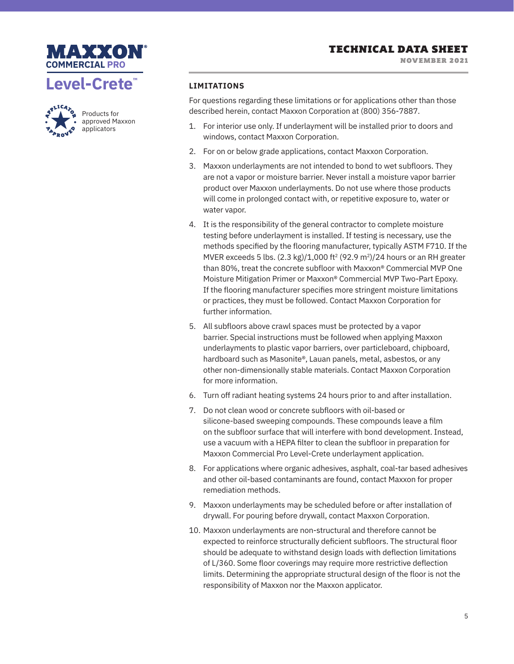TECHNICAL DATA SHEET

NOVEMBER 2021





Products for approved Maxxon applicators

# **LIMITATIONS**

For questions regarding these limitations or for applications other than those described herein, contact Maxxon Corporation at (800) 356-7887.

- 1. For interior use only. If underlayment will be installed prior to doors and windows, contact Maxxon Corporation.
- 2. For on or below grade applications, contact Maxxon Corporation.
- 3. Maxxon underlayments are not intended to bond to wet subfloors. They are not a vapor or moisture barrier. Never install a moisture vapor barrier product over Maxxon underlayments. Do not use where those products will come in prolonged contact with, or repetitive exposure to, water or water vapor.
- 4. It is the responsibility of the general contractor to complete moisture testing before underlayment is installed. If testing is necessary, use the methods specified by the flooring manufacturer, typically ASTM F710. If the MVER exceeds 5 lbs.  $(2.3 \text{ kg})/1,000 \text{ ft}^2 (92.9 \text{ m}^2)/24$  hours or an RH greater than 80%, treat the concrete subfloor with Maxxon® Commercial MVP One Moisture Mitigation Primer or Maxxon® Commercial MVP Two-Part Epoxy. If the flooring manufacturer specifies more stringent moisture limitations or practices, they must be followed. Contact Maxxon Corporation for further information.
- 5. All subfloors above crawl spaces must be protected by a vapor barrier. Special instructions must be followed when applying Maxxon underlayments to plastic vapor barriers, over particleboard, chipboard, hardboard such as Masonite®, Lauan panels, metal, asbestos, or any other non-dimensionally stable materials. Contact Maxxon Corporation for more information.
- 6. Turn off radiant heating systems 24 hours prior to and after installation.
- 7. Do not clean wood or concrete subfloors with oil-based or silicone-based sweeping compounds. These compounds leave a film on the subfloor surface that will interfere with bond development. Instead, use a vacuum with a HEPA filter to clean the subfloor in preparation for Maxxon Commercial Pro Level-Crete underlayment application.
- 8. For applications where organic adhesives, asphalt, coal-tar based adhesives and other oil-based contaminants are found, contact Maxxon for proper remediation methods.
- 9. Maxxon underlayments may be scheduled before or after installation of drywall. For pouring before drywall, contact Maxxon Corporation.
- 10. Maxxon underlayments are non-structural and therefore cannot be expected to reinforce structurally deficient subfloors. The structural floor should be adequate to withstand design loads with deflection limitations of L/360. Some floor coverings may require more restrictive deflection limits. Determining the appropriate structural design of the floor is not the responsibility of Maxxon nor the Maxxon applicator.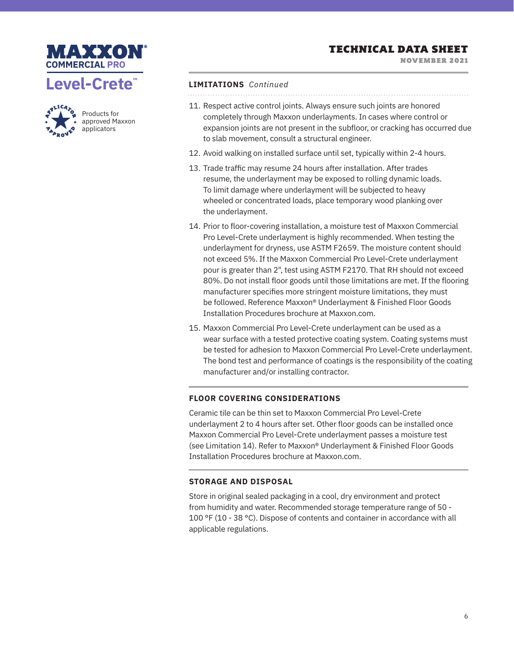

NOVEMBER 2021





Products for approved Maxxon applicators

# **LIMITATIONS** *Continued*

- 11. Respect active control joints. Always ensure such joints are honored completely through Maxxon underlayments. In cases where control or expansion joints are not present in the subfloor, or cracking has occurred due to slab movement, consult a structural engineer.
- 12. Avoid walking on installed surface until set, typically within 2-4 hours.
- 13. Trade traffic may resume 24 hours after installation. After trades resume, the underlayment may be exposed to rolling dynamic loads. To limit damage where underlayment will be subjected to heavy wheeled or concentrated loads, place temporary wood planking over the underlayment.
- 14. Prior to floor-covering installation, a moisture test of Maxxon Commercial Pro Level-Crete underlayment is highly recommended. When testing the underlayment for dryness, use ASTM F2659. The moisture content should not exceed 5%. If the Maxxon Commercial Pro Level-Crete underlayment pour is greater than 2", test using ASTM F2170. That RH should not exceed 80%. Do not install floor goods until those limitations are met. If the flooring manufacturer specifies more stringent moisture limitations, they must be followed. Reference Maxxon® Underlayment & Finished Floor Goods Installation Procedures brochure at Maxxon.com.
- 15. Maxxon Commercial Pro Level-Crete underlayment can be used as a wear surface with a tested protective coating system. Coating systems must be tested for adhesion to Maxxon Commercial Pro Level-Crete underlayment. The bond test and performance of coatings is the responsibility of the coating manufacturer and/or installing contractor.

## **FLOOR COVERING CONSIDERATIONS**

Ceramic tile can be thin set to Maxxon Commercial Pro Level-Crete underlayment 2 to 4 hours after set. Other floor goods can be installed once Maxxon Commercial Pro Level-Crete underlayment passes a moisture test (see Limitation 14). Refer to Maxxon® Underlayment & Finished Floor Goods Installation Procedures brochure at Maxxon.com.

## **STORAGE AND DISPOSAL**

Store in original sealed packaging in a cool, dry environment and protect from humidity and water. Recommended storage temperature range of 50 - 100 °F (10 - 38 °C). Dispose of contents and container in accordance with all applicable regulations.